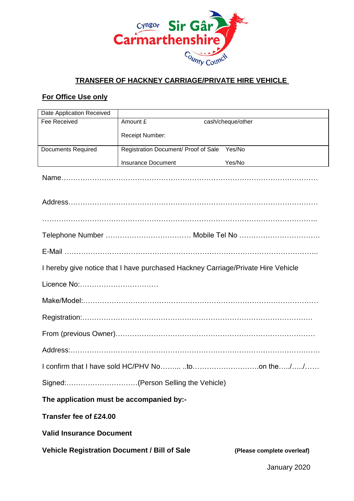

## **TRANSFER OF HACKNEY CARRIAGE/PRIVATE HIRE VEHICLE**

## **For Office Use only**

| Date Application Received                                                        |                                      |                            |
|----------------------------------------------------------------------------------|--------------------------------------|----------------------------|
| Fee Received                                                                     | Amount £                             | cash/cheque/other          |
|                                                                                  | Receipt Number:                      |                            |
| <b>Documents Required</b>                                                        | Registration Document/ Proof of Sale | Yes/No                     |
|                                                                                  | <b>Insurance Document</b>            | Yes/No                     |
|                                                                                  |                                      |                            |
|                                                                                  |                                      |                            |
|                                                                                  |                                      |                            |
|                                                                                  |                                      |                            |
|                                                                                  |                                      |                            |
|                                                                                  |                                      |                            |
|                                                                                  |                                      |                            |
| I hereby give notice that I have purchased Hackney Carriage/Private Hire Vehicle |                                      |                            |
| Licence No:                                                                      |                                      |                            |
|                                                                                  |                                      |                            |
|                                                                                  |                                      |                            |
|                                                                                  |                                      |                            |
|                                                                                  |                                      |                            |
|                                                                                  |                                      |                            |
|                                                                                  |                                      |                            |
| Signed:(Person Selling the Vehicle)                                              |                                      |                            |
| The application must be accompanied by:-                                         |                                      |                            |
| Transfer fee of £24.00                                                           |                                      |                            |
| <b>Valid Insurance Document</b>                                                  |                                      |                            |
| <b>Vehicle Registration Document / Bill of Sale</b>                              |                                      | (Please complete overleaf) |
|                                                                                  |                                      | January 2020               |